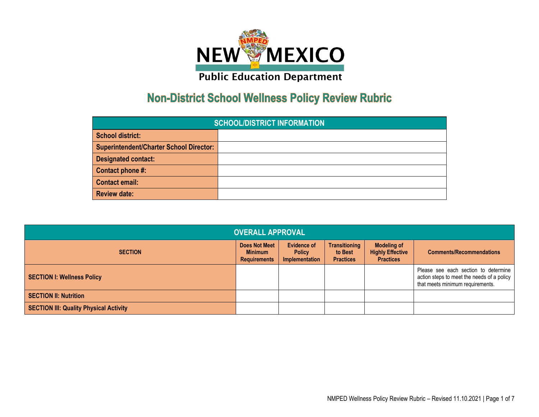

## **Non-District School Wellness Policy Review Rubric**

| <b>SCHOOL/DISTRICT INFORMATION</b>             |  |  |  |  |  |
|------------------------------------------------|--|--|--|--|--|
| <b>School district:</b>                        |  |  |  |  |  |
| <b>Superintendent/Charter School Director:</b> |  |  |  |  |  |
| <b>Designated contact:</b>                     |  |  |  |  |  |
| Contact phone #:                               |  |  |  |  |  |
| <b>Contact email:</b>                          |  |  |  |  |  |
| <b>Review date:</b>                            |  |  |  |  |  |

| <b>OVERALL APPROVAL</b>                       |                                                               |                                                              |                                                     |                                                                   |                                                                                                                        |  |
|-----------------------------------------------|---------------------------------------------------------------|--------------------------------------------------------------|-----------------------------------------------------|-------------------------------------------------------------------|------------------------------------------------------------------------------------------------------------------------|--|
| <b>SECTION</b>                                | <b>Does Not Meet</b><br><b>Minimum</b><br><b>Requirements</b> | <b>Evidence of</b><br><b>Policy</b><br><b>Implementation</b> | <b>Transitioning</b><br>to Best<br><b>Practices</b> | <b>Modeling of</b><br><b>Highly Effective</b><br><b>Practices</b> | <b>Comments/Recommendations</b>                                                                                        |  |
| <b>SECTION I: Wellness Policy</b>             |                                                               |                                                              |                                                     |                                                                   | Please see each section to determine<br>action steps to meet the needs of a policy<br>that meets minimum requirements. |  |
| <b>SECTION II: Nutrition</b>                  |                                                               |                                                              |                                                     |                                                                   |                                                                                                                        |  |
| <b>SECTION III: Quality Physical Activity</b> |                                                               |                                                              |                                                     |                                                                   |                                                                                                                        |  |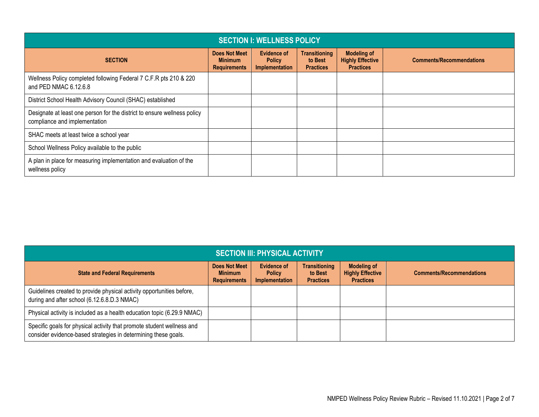| <b>SECTION I: WELLNESS POLICY</b>                                                                         |                                                        |                                                       |                                                     |                                                                   |                                 |  |
|-----------------------------------------------------------------------------------------------------------|--------------------------------------------------------|-------------------------------------------------------|-----------------------------------------------------|-------------------------------------------------------------------|---------------------------------|--|
| <b>SECTION</b>                                                                                            | Does Not Meet<br><b>Minimum</b><br><b>Requirements</b> | <b>Evidence of</b><br><b>Policy</b><br>Implementation | <b>Transitioning</b><br>to Best<br><b>Practices</b> | <b>Modeling of</b><br><b>Highly Effective</b><br><b>Practices</b> | <b>Comments/Recommendations</b> |  |
| Wellness Policy completed following Federal 7 C.F.R pts 210 & 220<br>and PED NMAC 6.12.6.8                |                                                        |                                                       |                                                     |                                                                   |                                 |  |
| District School Health Advisory Council (SHAC) established                                                |                                                        |                                                       |                                                     |                                                                   |                                 |  |
| Designate at least one person for the district to ensure wellness policy<br>compliance and implementation |                                                        |                                                       |                                                     |                                                                   |                                 |  |
| SHAC meets at least twice a school year                                                                   |                                                        |                                                       |                                                     |                                                                   |                                 |  |
| School Wellness Policy available to the public                                                            |                                                        |                                                       |                                                     |                                                                   |                                 |  |
| A plan in place for measuring implementation and evaluation of the<br>wellness policy                     |                                                        |                                                       |                                                     |                                                                   |                                 |  |

| <b>SECTION III: PHYSICAL ACTIVITY</b>                                                                                                    |                                                               |                                                       |                                                     |                                                                   |                                 |  |
|------------------------------------------------------------------------------------------------------------------------------------------|---------------------------------------------------------------|-------------------------------------------------------|-----------------------------------------------------|-------------------------------------------------------------------|---------------------------------|--|
| <b>State and Federal Requirements</b>                                                                                                    | <b>Does Not Meet</b><br><b>Minimum</b><br><b>Requirements</b> | <b>Evidence of</b><br><b>Policy</b><br>Implementation | <b>Transitioning</b><br>to Best<br><b>Practices</b> | <b>Modeling of</b><br><b>Highly Effective</b><br><b>Practices</b> | <b>Comments/Recommendations</b> |  |
| Guidelines created to provide physical activity opportunities before,<br>during and after school (6.12.6.8.D.3 NMAC)                     |                                                               |                                                       |                                                     |                                                                   |                                 |  |
| Physical activity is included as a health education topic (6.29.9 NMAC)                                                                  |                                                               |                                                       |                                                     |                                                                   |                                 |  |
| Specific goals for physical activity that promote student wellness and<br>consider evidence-based strategies in determining these goals. |                                                               |                                                       |                                                     |                                                                   |                                 |  |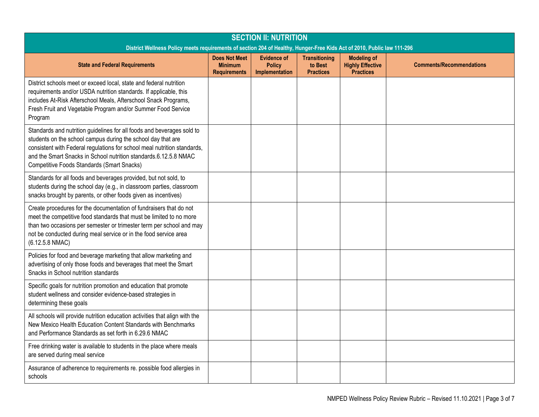| <b>SECTION II: NUTRITION</b><br>District Wellness Policy meets requirements of section 204 of Healthy, Hunger-Free Kids Act of 2010, Public law 111-296                                                                                                                                                                              |                                                               |                                                       |                                                     |                                                                   |                                 |
|--------------------------------------------------------------------------------------------------------------------------------------------------------------------------------------------------------------------------------------------------------------------------------------------------------------------------------------|---------------------------------------------------------------|-------------------------------------------------------|-----------------------------------------------------|-------------------------------------------------------------------|---------------------------------|
| <b>State and Federal Requirements</b>                                                                                                                                                                                                                                                                                                | <b>Does Not Meet</b><br><b>Minimum</b><br><b>Requirements</b> | <b>Evidence of</b><br><b>Policy</b><br>Implementation | <b>Transitioning</b><br>to Best<br><b>Practices</b> | <b>Modeling of</b><br><b>Highly Effective</b><br><b>Practices</b> | <b>Comments/Recommendations</b> |
| District schools meet or exceed local, state and federal nutrition<br>requirements and/or USDA nutrition standards. If applicable, this<br>includes At-Risk Afterschool Meals, Afterschool Snack Programs,<br>Fresh Fruit and Vegetable Program and/or Summer Food Service<br>Program                                                |                                                               |                                                       |                                                     |                                                                   |                                 |
| Standards and nutrition guidelines for all foods and beverages sold to<br>students on the school campus during the school day that are<br>consistent with Federal regulations for school meal nutrition standards,<br>and the Smart Snacks in School nutrition standards.6.12.5.8 NMAC<br>Competitive Foods Standards (Smart Snacks) |                                                               |                                                       |                                                     |                                                                   |                                 |
| Standards for all foods and beverages provided, but not sold, to<br>students during the school day (e.g., in classroom parties, classroom<br>snacks brought by parents, or other foods given as incentives)                                                                                                                          |                                                               |                                                       |                                                     |                                                                   |                                 |
| Create procedures for the documentation of fundraisers that do not<br>meet the competitive food standards that must be limited to no more<br>than two occasions per semester or trimester term per school and may<br>not be conducted during meal service or in the food service area<br>(6.12.5.8 NMAC)                             |                                                               |                                                       |                                                     |                                                                   |                                 |
| Policies for food and beverage marketing that allow marketing and<br>advertising of only those foods and beverages that meet the Smart<br>Snacks in School nutrition standards                                                                                                                                                       |                                                               |                                                       |                                                     |                                                                   |                                 |
| Specific goals for nutrition promotion and education that promote<br>student wellness and consider evidence-based strategies in<br>determining these goals                                                                                                                                                                           |                                                               |                                                       |                                                     |                                                                   |                                 |
| All schools will provide nutrition education activities that align with the<br>New Mexico Health Education Content Standards with Benchmarks<br>and Performance Standards as set forth in 6.29.6 NMAC                                                                                                                                |                                                               |                                                       |                                                     |                                                                   |                                 |
| Free drinking water is available to students in the place where meals<br>are served during meal service                                                                                                                                                                                                                              |                                                               |                                                       |                                                     |                                                                   |                                 |
| Assurance of adherence to requirements re. possible food allergies in<br>schools                                                                                                                                                                                                                                                     |                                                               |                                                       |                                                     |                                                                   |                                 |